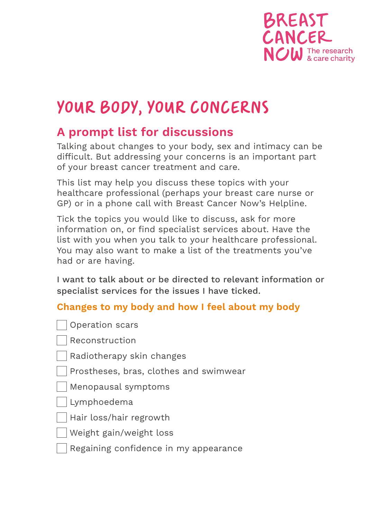

## YOUR BODY, YOUR CONCERNS

## **A prompt list for discussions**

Talking about changes to your body, sex and intimacy can be difficult. But addressing your concerns is an important part of your breast cancer treatment and care.

This list may help you discuss these topics with your healthcare professional (perhaps your breast care nurse or GP) or in a phone call with Breast Cancer Now's Helpline.

Tick the topics you would like to discuss, ask for more information on, or find specialist services about. Have the list with you when you talk to your healthcare professional. You may also want to make a list of the treatments you've had or are having.

I want to talk about or be directed to relevant information or specialist services for the issues I have ticked.

## **Changes to my body and how I feel about my body**

- Operation scars
- Reconstruction
- Radiotherapy skin changes
- Prostheses, bras, clothes and swimwear
- Menopausal symptoms
- Lymphoedema
- Hair loss/hair regrowth
- Weight gain/weight loss
- Regaining confidence in my appearance